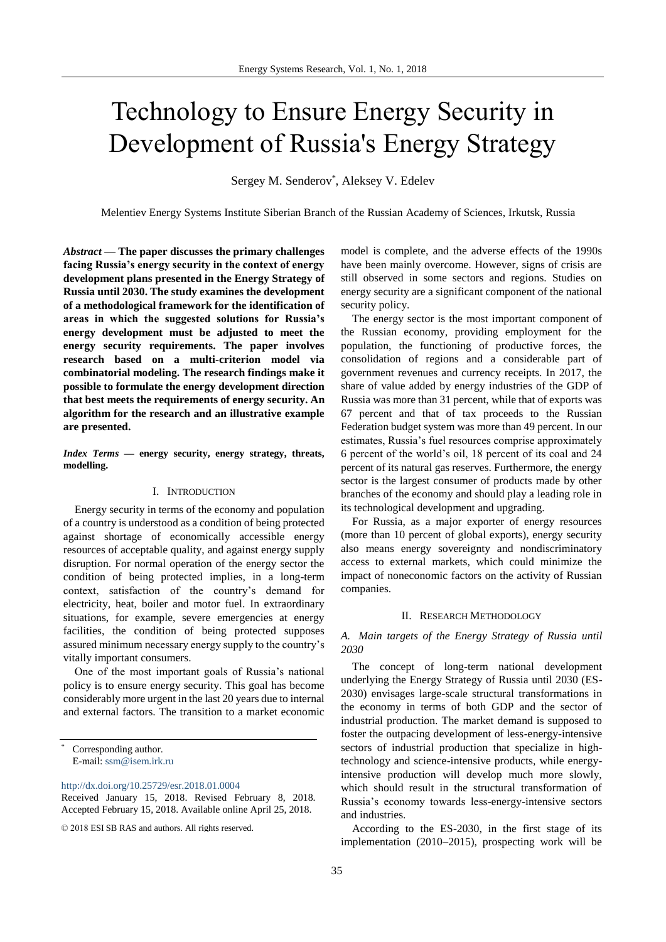# Technology to Ensure Energy Security in Development of Russia's Energy Strategy

Sergey M. Senderov\* , Aleksey V. Edelev

Melentiev Energy Systems Institute Siberian Branch of the Russian Academy of Sciences, Irkutsk, Russia

*Abstract* **— The paper discusses the primary challenges facing Russia's energy security in the context of energy development plans presented in the Energy Strategy of Russia until 2030. The study examines the development of a methodological framework for the identification of areas in which the suggested solutions for Russia's energy development must be adjusted to meet the energy security requirements. The paper involves research based on a multi-criterion model via combinatorial modeling. The research findings make it possible to formulate the energy development direction that best meets the requirements of energy security. An algorithm for the research and an illustrative example are presented.**

*Index Terms* **— energy security, energy strategy, threats, modelling.** 

## I. INTRODUCTION

Energy security in terms of the economy and population of a country is understood as a condition of being protected against shortage of economically accessible energy resources of acceptable quality, and against energy supply disruption. For normal operation of the energy sector the condition of being protected implies, in a long-term context, satisfaction of the country's demand for electricity, heat, boiler and motor fuel. In extraordinary situations, for example, severe emergencies at energy facilities, the condition of being protected supposes assured minimum necessary energy supply to the country's vitally important consumers.

One of the most important goals of Russia's national policy is to ensure energy security. This goal has become considerably more urgent in the last 20 years due to internal and external factors. The transition to a market economic

Corresponding author. E-mail: [ssm@isem.irk.ru](mailto:ssm@isem.irk.ru)

<http://dx.doi.org/10.25729/esr.2018.01.0004>

model is complete, and the adverse effects of the 1990s have been mainly overcome. However, signs of crisis are still observed in some sectors and regions. Studies on energy security are a significant component of the national security policy.

The energy sector is the most important component of the Russian economy, providing employment for the population, the functioning of productive forces, the consolidation of regions and a considerable part of government revenues and currency receipts. In 2017, the share of value added by energy industries of the GDP of Russia was more than 31 percent, while that of exports was 67 percent and that of tax proceeds to the Russian Federation budget system was more than 49 percent. In our estimates, Russia's fuel resources comprise approximately 6 percent of the world's oil, 18 percent of its coal and 24 percent of its natural gas reserves. Furthermore, the energy sector is the largest consumer of products made by other branches of the economy and should play a leading role in its technological development and upgrading.

For Russia, as a major exporter of energy resources (more than 10 percent of global exports), energy security also means energy sovereignty and nondiscriminatory access to external markets, which could minimize the impact of noneconomic factors on the activity of Russian companies.

#### II. RESEARCH METHODOLOGY

*A. Main targets of the Energy Strategy of Russia until 2030*

The concept of long-term national development underlying the Energy Strategy of Russia until 2030 (ES-2030) envisages large-scale structural transformations in the economy in terms of both GDP and the sector of industrial production. The market demand is supposed to foster the outpacing development of less-energy-intensive sectors of industrial production that specialize in hightechnology and science-intensive products, while energyintensive production will develop much more slowly, which should result in the structural transformation of Russia's economy towards less-energy-intensive sectors and industries.

According to the ES-2030, in the first stage of its implementation (2010–2015), prospecting work will be

Received January 15, 2018. Revised February 8, 2018. Accepted February 15, 2018. Available online April 25, 2018.

<sup>© 2018</sup> ESI SB RAS and authors. All rights reserved.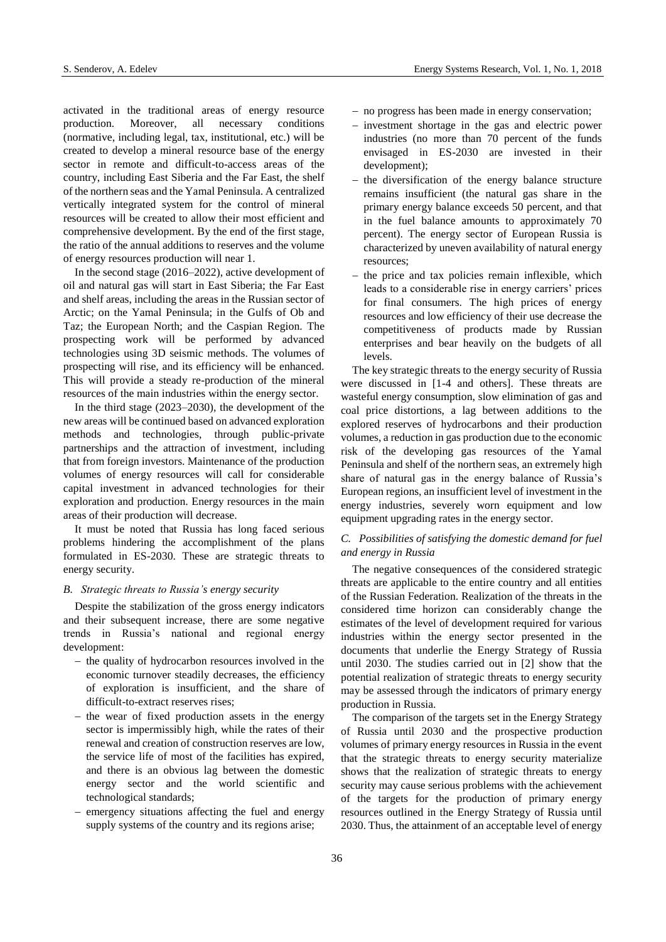activated in the traditional areas of energy resource production. Moreover, all necessary conditions (normative, including legal, tax, institutional, etc.) will be created to develop a mineral resource base of the energy sector in remote and difficult-to-access areas of the country, including East Siberia and the Far East, the shelf of the northern seas and the Yamal Peninsula. A centralized vertically integrated system for the control of mineral resources will be created to allow their most efficient and comprehensive development. By the end of the first stage, the ratio of the annual additions to reserves and the volume of energy resources production will near 1.

In the second stage (2016–2022), active development of oil and natural gas will start in East Siberia; the Far East and shelf areas, including the areas in the Russian sector of Arctic; on the Yamal Peninsula; in the Gulfs of Ob and Taz; the European North; and the Caspian Region. The prospecting work will be performed by advanced technologies using 3D seismic methods. The volumes of prospecting will rise, and its efficiency will be enhanced. This will provide a steady re-production of the mineral resources of the main industries within the energy sector.

In the third stage (2023–2030), the development of the new areas will be continued based on advanced exploration methods and technologies, through public-private partnerships and the attraction of investment, including that from foreign investors. Maintenance of the production volumes of energy resources will call for considerable capital investment in advanced technologies for their exploration and production. Energy resources in the main areas of their production will decrease.

It must be noted that Russia has long faced serious problems hindering the accomplishment of the plans formulated in ES-2030. These are strategic threats to energy security.

#### *B. Strategic threats to Russia's energy security*

Despite the stabilization of the gross energy indicators and their subsequent increase, there are some negative trends in Russia's national and regional energy development:

- the quality of hydrocarbon resources involved in the economic turnover steadily decreases, the efficiency of exploration is insufficient, and the share of difficult-to-extract reserves rises;
- $-$  the wear of fixed production assets in the energy sector is impermissibly high, while the rates of their renewal and creation of construction reserves are low, the service life of most of the facilities has expired, and there is an obvious lag between the domestic energy sector and the world scientific and technological standards;
- emergency situations affecting the fuel and energy supply systems of the country and its regions arise;
- no progress has been made in energy conservation;
- investment shortage in the gas and electric power industries (no more than 70 percent of the funds envisaged in ES-2030 are invested in their development);
- $-$  the diversification of the energy balance structure remains insufficient (the natural gas share in the primary energy balance exceeds 50 percent, and that in the fuel balance amounts to approximately 70 percent). The energy sector of European Russia is characterized by uneven availability of natural energy resources;
- the price and tax policies remain inflexible, which leads to a considerable rise in energy carriers' prices for final consumers. The high prices of energy resources and low efficiency of their use decrease the competitiveness of products made by Russian enterprises and bear heavily on the budgets of all levels.

The key strategic threats to the energy security of Russia were discussed in [1-4 and others]. These threats are wasteful energy consumption, slow elimination of gas and coal price distortions, a lag between additions to the explored reserves of hydrocarbons and their production volumes, a reduction in gas production due to the economic risk of the developing gas resources of the Yamal Peninsula and shelf of the northern seas, an extremely high share of natural gas in the energy balance of Russia's European regions, an insufficient level of investment in the energy industries, severely worn equipment and low equipment upgrading rates in the energy sector.

# *C. Possibilities of satisfying the domestic demand for fuel and energy in Russia*

The negative consequences of the considered strategic threats are applicable to the entire country and all entities of the Russian Federation. Realization of the threats in the considered time horizon can considerably change the estimates of the level of development required for various industries within the energy sector presented in the documents that underlie the Energy Strategy of Russia until 2030. The studies carried out in [2] show that the potential realization of strategic threats to energy security may be assessed through the indicators of primary energy production in Russia.

The comparison of the targets set in the Energy Strategy of Russia until 2030 and the prospective production volumes of primary energy resources in Russia in the event that the strategic threats to energy security materialize shows that the realization of strategic threats to energy security may cause serious problems with the achievement of the targets for the production of primary energy resources outlined in the Energy Strategy of Russia until 2030. Thus, the attainment of an acceptable level of energy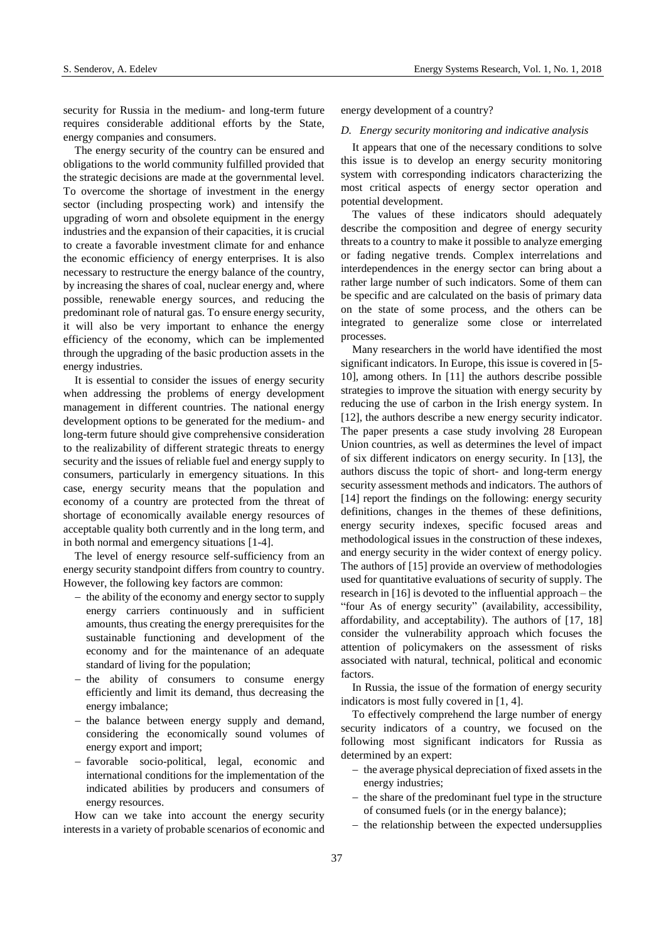security for Russia in the medium- and long-term future requires considerable additional efforts by the State, energy companies and consumers.

The energy security of the country can be ensured and obligations to the world community fulfilled provided that the strategic decisions are made at the governmental level. To overcome the shortage of investment in the energy sector (including prospecting work) and intensify the upgrading of worn and obsolete equipment in the energy industries and the expansion of their capacities, it is crucial to create a favorable investment climate for and enhance the economic efficiency of energy enterprises. It is also necessary to restructure the energy balance of the country, by increasing the shares of coal, nuclear energy and, where possible, renewable energy sources, and reducing the predominant role of natural gas. To ensure energy security, it will also be very important to enhance the energy efficiency of the economy, which can be implemented through the upgrading of the basic production assets in the energy industries.

It is essential to consider the issues of energy security when addressing the problems of energy development management in different countries. The national energy development options to be generated for the medium- and long-term future should give comprehensive consideration to the realizability of different strategic threats to energy security and the issues of reliable fuel and energy supply to consumers, particularly in emergency situations. In this case, energy security means that the population and economy of a country are protected from the threat of shortage of economically available energy resources of acceptable quality both currently and in the long term, and in both normal and emergency situations [1-4].

The level of energy resource self-sufficiency from an energy security standpoint differs from country to country. However, the following key factors are common:

- $-$  the ability of the economy and energy sector to supply energy carriers continuously and in sufficient amounts, thus creating the energy prerequisites for the sustainable functioning and development of the economy and for the maintenance of an adequate standard of living for the population;
- the ability of consumers to consume energy efficiently and limit its demand, thus decreasing the energy imbalance;
- the balance between energy supply and demand, considering the economically sound volumes of energy export and import;
- favorable socio-political, legal, economic and international conditions for the implementation of the indicated abilities by producers and consumers of energy resources.

How can we take into account the energy security interests in a variety of probable scenarios of economic and energy development of a country?

#### *D. Energy security monitoring and indicative analysis*

It appears that one of the necessary conditions to solve this issue is to develop an energy security monitoring system with corresponding indicators characterizing the most critical aspects of energy sector operation and potential development.

The values of these indicators should adequately describe the composition and degree of energy security threats to a country to make it possible to analyze emerging or fading negative trends. Complex interrelations and interdependences in the energy sector can bring about a rather large number of such indicators. Some of them can be specific and are calculated on the basis of primary data on the state of some process, and the others can be integrated to generalize some close or interrelated processes.

Many researchers in the world have identified the most significant indicators. In Europe, this issue is covered in [5- 10], among others. In [11] the authors describe possible strategies to improve the situation with energy security by reducing the use of carbon in the Irish energy system. In [12], the authors describe a new energy security indicator. The paper presents a case study involving 28 European Union countries, as well as determines the level of impact of six different indicators on energy security. In [13], the authors discuss the topic of short- and long-term energy security assessment methods and indicators. The authors of [14] report the findings on the following: energy security definitions, changes in the themes of these definitions, energy security indexes, specific focused areas and methodological issues in the construction of these indexes, and energy security in the wider context of energy policy. The authors of [15] provide an overview of methodologies used for quantitative evaluations of security of supply. The research in [16] is devoted to the influential approach – the "four As of energy security" (availability, accessibility, affordability, and acceptability). The authors of [17, 18] consider the vulnerability approach which focuses the attention of policymakers on the assessment of risks associated with natural, technical, political and economic factors.

In Russia, the issue of the formation of energy security indicators is most fully covered in [1, 4].

To effectively comprehend the large number of energy security indicators of a country, we focused on the following most significant indicators for Russia as determined by an expert:

- $-$  the average physical depreciation of fixed assets in the energy industries;
- $-$  the share of the predominant fuel type in the structure of consumed fuels (or in the energy balance);
- $-$  the relationship between the expected undersupplies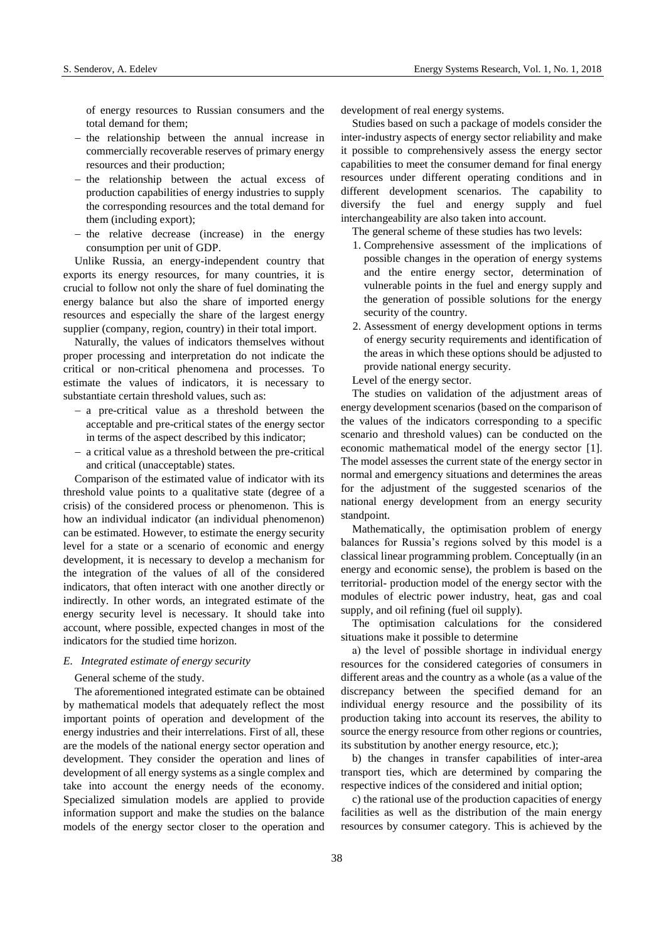of energy resources to Russian consumers and the total demand for them;

- $-$  the relationship between the annual increase in commercially recoverable reserves of primary energy resources and their production;
- $-$  the relationship between the actual excess of production capabilities of energy industries to supply the corresponding resources and the total demand for them (including export);
- $-$  the relative decrease (increase) in the energy consumption per unit of GDP.

Unlike Russia, an energy-independent country that exports its energy resources, for many countries, it is crucial to follow not only the share of fuel dominating the energy balance but also the share of imported energy resources and especially the share of the largest energy supplier (company, region, country) in their total import.

Naturally, the values of indicators themselves without proper processing and interpretation do not indicate the critical or non-critical phenomena and processes. To estimate the values of indicators, it is necessary to substantiate certain threshold values, such as:

- a pre-critical value as a threshold between the acceptable and pre-critical states of the energy sector in terms of the aspect described by this indicator;
- a critical value as a threshold between the pre-critical and critical (unacceptable) states.

Comparison of the estimated value of indicator with its threshold value points to a qualitative state (degree of a crisis) of the considered process or phenomenon. This is how an individual indicator (an individual phenomenon) can be estimated. However, to estimate the energy security level for a state or a scenario of economic and energy development, it is necessary to develop a mechanism for the integration of the values of all of the considered indicators, that often interact with one another directly or indirectly. In other words, an integrated estimate of the energy security level is necessary. It should take into account, where possible, expected changes in most of the indicators for the studied time horizon.

#### *E. Integrated estimate of energy security*

General scheme of the study.

The aforementioned integrated estimate can be obtained by mathematical models that adequately reflect the most important points of operation and development of the energy industries and their interrelations. First of all, these are the models of the national energy sector operation and development. They consider the operation and lines of development of all energy systems as a single complex and take into account the energy needs of the economy. Specialized simulation models are applied to provide information support and make the studies on the balance models of the energy sector closer to the operation and development of real energy systems.

Studies based on such a package of models consider the inter-industry aspects of energy sector reliability and make it possible to comprehensively assess the energy sector capabilities to meet the consumer demand for final energy resources under different operating conditions and in different development scenarios. The capability to diversify the fuel and energy supply and fuel interchangeability are also taken into account.

- The general scheme of these studies has two levels:
- 1. Comprehensive assessment of the implications of possible changes in the operation of energy systems and the entire energy sector, determination of vulnerable points in the fuel and energy supply and the generation of possible solutions for the energy security of the country.
- 2. Assessment of energy development options in terms of energy security requirements and identification of the areas in which these options should be adjusted to provide national energy security.

Level of the energy sector.

The studies on validation of the adjustment areas of energy development scenarios (based on the comparison of the values of the indicators corresponding to a specific scenario and threshold values) can be conducted on the economic mathematical model of the energy sector [1]. The model assesses the current state of the energy sector in normal and emergency situations and determines the areas for the adjustment of the suggested scenarios of the national energy development from an energy security standpoint.

Mathematically, the optimisation problem of energy balances for Russia's regions solved by this model is a classical linear programming problem. Conceptually (in an energy and economic sense), the problem is based on the territorial- production model of the energy sector with the modules of electric power industry, heat, gas and coal supply, and oil refining (fuel oil supply).

The optimisation calculations for the considered situations make it possible to determine

а) the level of possible shortage in individual energy resources for the considered categories of consumers in different areas and the country as a whole (as a value of the discrepancy between the specified demand for an individual energy resource and the possibility of its production taking into account its reserves, the ability to source the energy resource from other regions or countries, its substitution by another energy resource, etc.);

b) the changes in transfer capabilities of inter-area transport ties, which are determined by comparing the respective indices of the considered and initial option;

c) the rational use of the production capacities of energy facilities as well as the distribution of the main energy resources by consumer category. This is achieved by the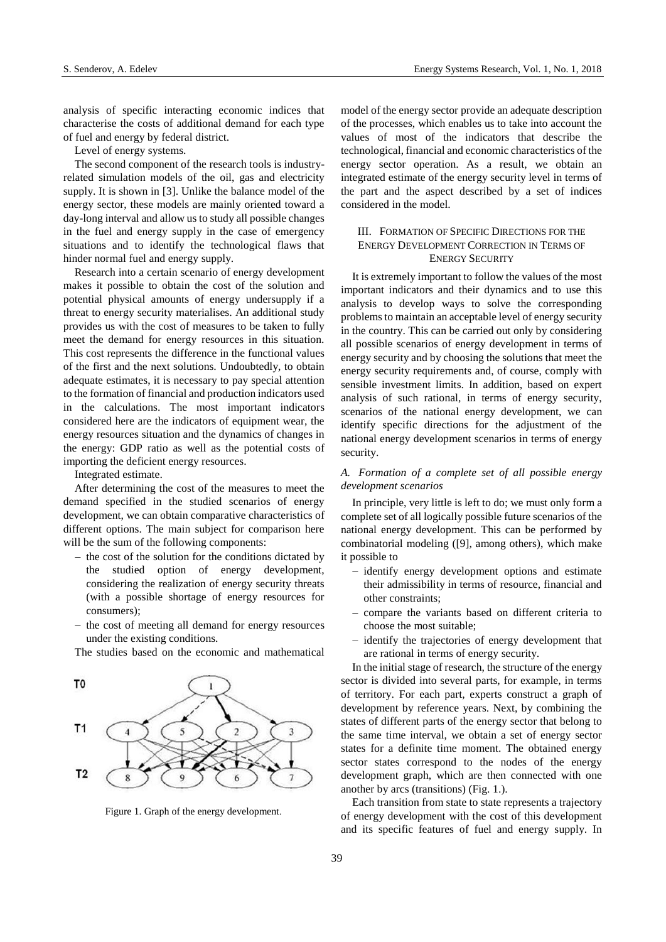analysis of specific interacting economic indices that characterise the costs of additional demand for each type of fuel and energy by federal district.

Level of energy systems.

The second component of the research tools is industryrelated simulation models of the oil, gas and electricity supply. It is shown in [3]. Unlike the balance model of the energy sector, these models are mainly oriented toward a day-long interval and allow us to study all possible changes in the fuel and energy supply in the case of emergency situations and to identify the technological flaws that hinder normal fuel and energy supply.

Research into a certain scenario of energy development makes it possible to obtain the cost of the solution and potential physical amounts of energy undersupply if a threat to energy security materialises. An additional study provides us with the cost of measures to be taken to fully meet the demand for energy resources in this situation. This cost represents the difference in the functional values of the first and the next solutions. Undoubtedly, to obtain adequate estimates, it is necessary to pay special attention to the formation of financial and production indicators used in the calculations. The most important indicators considered here are the indicators of equipment wear, the energy resources situation and the dynamics of changes in the energy: GDP ratio as well as the potential costs of importing the deficient energy resources.

Integrated estimate.

After determining the cost of the measures to meet the demand specified in the studied scenarios of energy development, we can obtain comparative characteristics of different options. The main subject for comparison here will be the sum of the following components:

- $-$  the cost of the solution for the conditions dictated by the studied option of energy development, considering the realization of energy security threats (with a possible shortage of energy resources for consumers);
- the cost of meeting all demand for energy resources under the existing conditions.

The studies based on the economic and mathematical



Figure 1. Graph of the energy development.

model of the energy sector provide an adequate description of the processes, which enables us to take into account the values of most of the indicators that describe the technological, financial and economic characteristics of the energy sector operation. As a result, we obtain an integrated estimate of the energy security level in terms of the part and the aspect described by a set of indices considered in the model.

# III. FORMATION OF SPECIFIC DIRECTIONS FOR THE ENERGY DEVELOPMENT CORRECTION IN TERMS OF ENERGY SECURITY

It is extremely important to follow the values of the most important indicators and their dynamics and to use this analysis to develop ways to solve the corresponding problems to maintain an acceptable level of energy security in the country. This can be carried out only by considering all possible scenarios of energy development in terms of energy security and by choosing the solutions that meet the energy security requirements and, of course, comply with sensible investment limits. In addition, based on expert analysis of such rational, in terms of energy security, scenarios of the national energy development, we can identify specific directions for the adjustment of the national energy development scenarios in terms of energy security.

# *A. Formation of a complete set of all possible energy development scenarios*

In principle, very little is left to do; we must only form a complete set of all logically possible future scenarios of the national energy development. This can be performed by combinatorial modeling ([9], among others), which make it possible to

- identify energy development options and estimate their admissibility in terms of resource, financial and other constraints;
- compare the variants based on different criteria to choose the most suitable;
- identify the trajectories of energy development that are rational in terms of energy security.

In the initial stage of research, the structure of the energy sector is divided into several parts, for example, in terms of territory. For each part, experts construct a graph of development by reference years. Next, by combining the states of different parts of the energy sector that belong to the same time interval, we obtain a set of energy sector states for a definite time moment. The obtained energy sector states correspond to the nodes of the energy development graph, which are then connected with one another by arcs (transitions) (Fig. 1.).

Each transition from state to state represents a trajectory of energy development with the cost of this development and its specific features of fuel and energy supply. In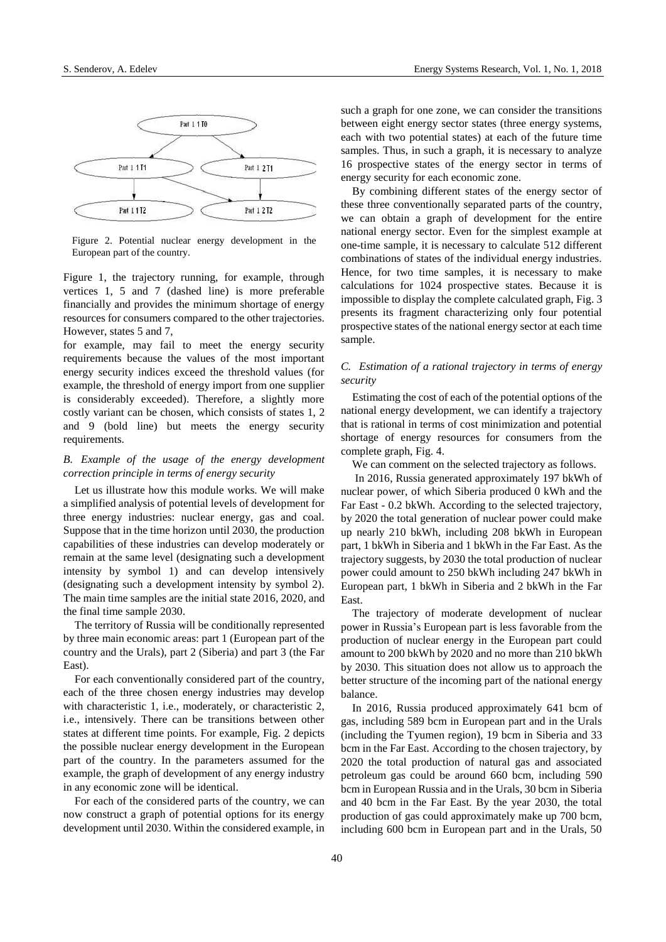

Figure 2. Potential nuclear energy development in the European part of the country.

Figure 1, the trajectory running, for example, through vertices 1, 5 and 7 (dashed line) is more preferable financially and provides the minimum shortage of energy resources for consumers compared to the other trajectories. However, states 5 and 7,

for example, may fail to meet the energy security requirements because the values of the most important energy security indices exceed the threshold values (for example, the threshold of energy import from one supplier is considerably exceeded). Therefore, a slightly more costly variant can be chosen, which consists of states 1, 2 and 9 (bold line) but meets the energy security requirements.

# *B. Example of the usage of the energy development correction principle in terms of energy security*

Let us illustrate how this module works. We will make a simplified analysis of potential levels of development for three energy industries: nuclear energy, gas and coal. Suppose that in the time horizon until 2030, the production capabilities of these industries can develop moderately or remain at the same level (designating such a development intensity by symbol 1) and can develop intensively (designating such a development intensity by symbol 2). The main time samples are the initial state 2016, 2020, and the final time sample 2030.

The territory of Russia will be conditionally represented by three main economic areas: part 1 (European part of the country and the Urals), part 2 (Siberia) and part 3 (the Far East).

For each conventionally considered part of the country, each of the three chosen energy industries may develop with characteristic 1, i.e., moderately, or characteristic 2, i.e., intensively. There can be transitions between other states at different time points. For example, Fig. 2 depicts the possible nuclear energy development in the European part of the country. In the parameters assumed for the example, the graph of development of any energy industry in any economic zone will be identical.

For each of the considered parts of the country, we can now construct a graph of potential options for its energy development until 2030. Within the considered example, in such a graph for one zone, we can consider the transitions between eight energy sector states (three energy systems, each with two potential states) at each of the future time samples. Thus, in such a graph, it is necessary to analyze 16 prospective states of the energy sector in terms of energy security for each economic zone.

By combining different states of the energy sector of these three conventionally separated parts of the country, we can obtain a graph of development for the entire national energy sector. Even for the simplest example at one-time sample, it is necessary to calculate 512 different combinations of states of the individual energy industries. Hence, for two time samples, it is necessary to make calculations for 1024 prospective states. Because it is impossible to display the complete calculated graph, Fig. 3 presents its fragment characterizing only four potential prospective states of the national energy sector at each time sample.

# *C. Estimation of a rational trajectory in terms of energy security*

Estimating the cost of each of the potential options of the national energy development, we can identify a trajectory that is rational in terms of cost minimization and potential shortage of energy resources for consumers from the complete graph, Fig. 4.

We can comment on the selected trajectory as follows.

In 2016, Russia generated approximately 197 bkWh of nuclear power, of which Siberia produced 0 kWh and the Far East - 0.2 bkWh. According to the selected trajectory, by 2020 the total generation of nuclear power could make up nearly 210 bkWh, including 208 bkWh in European part, 1 bkWh in Siberia and 1 bkWh in the Far East. As the trajectory suggests, by 2030 the total production of nuclear power could amount to 250 bkWh including 247 bkWh in European part, 1 bkWh in Siberia and 2 bkWh in the Far East.

The trajectory of moderate development of nuclear power in Russia's European part is less favorable from the production of nuclear energy in the European part could amount to 200 bkWh by 2020 and no more than 210 bkWh by 2030. This situation does not allow us to approach the better structure of the incoming part of the national energy balance.

In 2016, Russia produced approximately 641 bcm of gas, including 589 bcm in European part and in the Urals (including the Tyumen region), 19 bcm in Siberia and 33 bcm in the Far East. According to the chosen trajectory, by 2020 the total production of natural gas and associated petroleum gas could be around 660 bcm, including 590 bcm in European Russia and in the Urals, 30 bcm in Siberia and 40 bcm in the Far East. By the year 2030, the total production of gas could approximately make up 700 bcm, including 600 bcm in European part and in the Urals, 50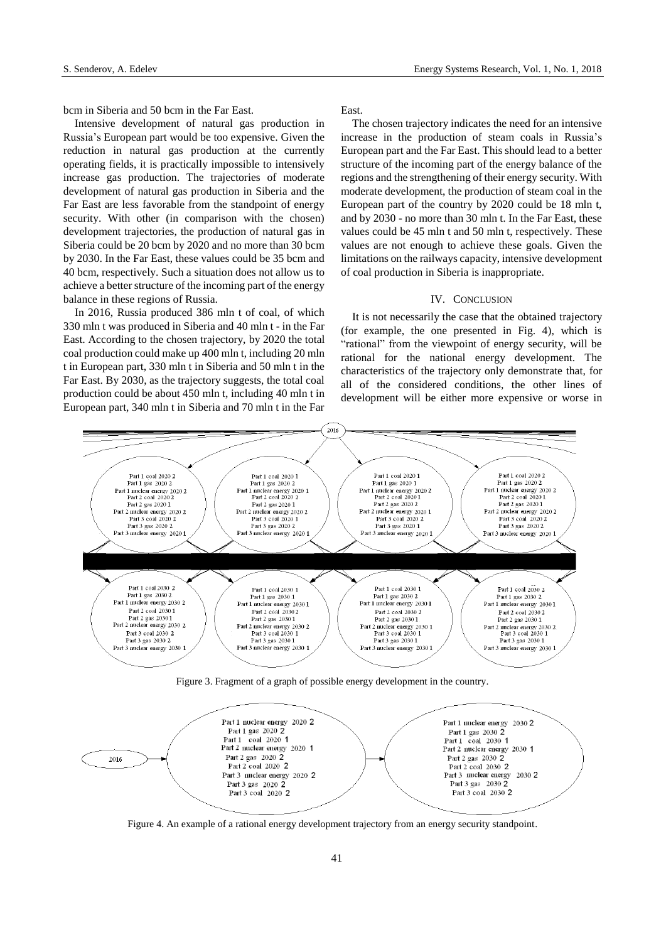bcm in Siberia and 50 bcm in the Far East.

Intensive development of natural gas production in Russia's European part would be too expensive. Given the reduction in natural gas production at the currently operating fields, it is practically impossible to intensively increase gas production. The trajectories of moderate development of natural gas production in Siberia and the Far East are less favorable from the standpoint of energy security. With other (in comparison with the chosen) development trajectories, the production of natural gas in Siberia could be 20 bcm by 2020 and no more than 30 bcm by 2030. In the Far East, these values could be 35 bcm and 40 bcm, respectively. Such a situation does not allow us to achieve a better structure of the incoming part of the energy balance in these regions of Russia.

In 2016, Russia produced 386 mln t of coal, of which 330 mln t was produced in Siberia and 40 mln t - in the Far East. According to the chosen trajectory, by 2020 the total coal production could make up 400 mln t, including 20 mln t in European part, 330 mln t in Siberia and 50 mln t in the Far East. By 2030, as the trajectory suggests, the total coal production could be about 450 mln t, including 40 mln t in European part, 340 mln t in Siberia and 70 mln t in the Far East.

The chosen trajectory indicates the need for an intensive increase in the production of steam coals in Russia's European part and the Far East. This should lead to a better structure of the incoming part of the energy balance of the regions and the strengthening of their energy security. With moderate development, the production of steam coal in the European part of the country by 2020 could be 18 mln t, and by 2030 - no more than 30 mln t. In the Far East, these values could be 45 mln t and 50 mln t, respectively. These values are not enough to achieve these goals. Given the limitations on the railways capacity, intensive development of coal production in Siberia is inappropriate.

## IV. CONCLUSION

It is not necessarily the case that the obtained trajectory (for example, the one presented in Fig. 4), which is "rational" from the viewpoint of energy security, will be rational for the national energy development. The characteristics of the trajectory only demonstrate that, for all of the considered conditions, the other lines of development will be either more expensive or worse in



Figure 3. Fragment of a graph of possible energy development in the country.



Figure 4. An example of a rational energy development trajectory from an energy security standpoint.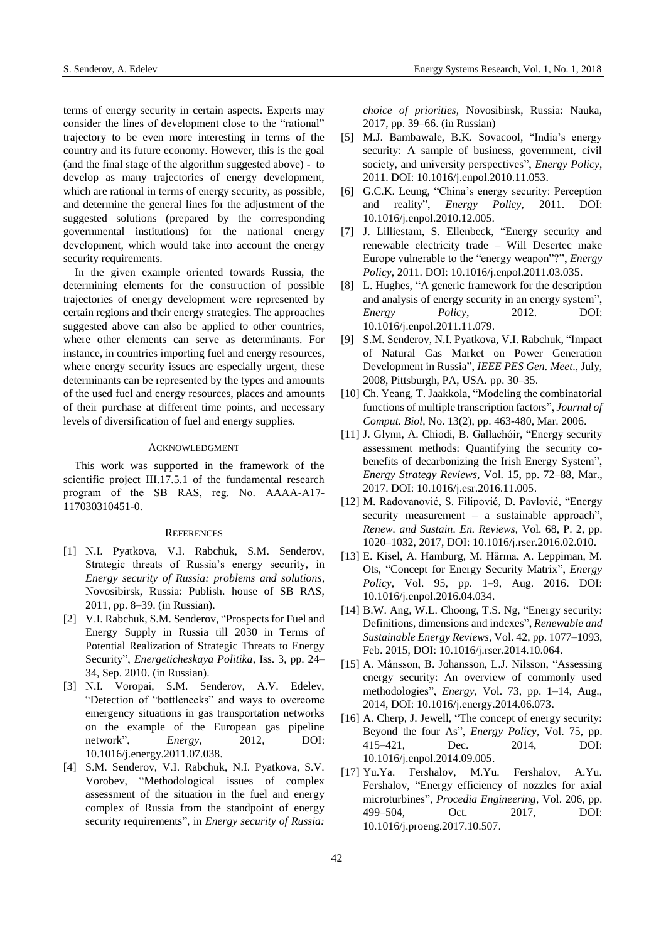terms of energy security in certain aspects. Experts may consider the lines of development close to the "rational" trajectory to be even more interesting in terms of the country and its future economy. However, this is the goal (and the final stage of the algorithm suggested above) - to develop as many trajectories of energy development, which are rational in terms of energy security, as possible, and determine the general lines for the adjustment of the suggested solutions (prepared by the corresponding governmental institutions) for the national energy development, which would take into account the energy security requirements.

In the given example oriented towards Russia, the determining elements for the construction of possible trajectories of energy development were represented by certain regions and their energy strategies. The approaches suggested above can also be applied to other countries, where other elements can serve as determinants. For instance, in countries importing fuel and energy resources, where energy security issues are especially urgent, these determinants can be represented by the types and amounts of the used fuel and energy resources, places and amounts of their purchase at different time points, and necessary levels of diversification of fuel and energy supplies.

## ACKNOWLEDGMENT

This work was supported in the framework of the scientific project III.17.5.1 of the fundamental research program of the SB RAS, reg. No. АААА-А17- 117030310451-0.

## **REFERENCES**

- [1] N.I. Pyatkova, V.I. Rabchuk, S.M. Senderov, Strategic threats of Russia's energy security, in *Energy security of Russia: problems and solutions,* Novosibirsk, Russia: Publish. house of SB RAS, 2011, pp. 8–39. (in Russian).
- [2] V.I. Rabchuk, S.M. Senderov, "Prospects for Fuel and Energy Supply in Russia till 2030 in Terms of Potential Realization of Strategic Threats to Energy Security", *Energeticheskaya Politika*, Iss. 3, pp. 24– 34, Sep. 2010. (in Russian).
- [3] N.I. Voropai, S.M. Senderov, A.V. Edelev, "Detection of "bottlenecks" and ways to overcome emergency situations in gas transportation networks on the example of the European gas pipeline network", *Energy*, 2012, DOI: 10.1016/j.energy.2011.07.038.
- [4] S.M. Senderov, V.I. Rabchuk, N.I. Pyatkova, S.V. Vorobev, "Methodological issues of complex assessment of the situation in the fuel and energy complex of Russia from the standpoint of energy security requirements", in *Energy security of Russia:*

*choice of priorities,* Novosibirsk, Russia: Nauka, 2017, pp. 39–66. (in Russian)

- [5] M.J. Bambawale, B.K. Sovacool, "India's energy security: A sample of business, government, civil society, and university perspectives", *Energy Policy*, 2011. DOI: 10.1016/j.enpol.2010.11.053.
- [6] G.C.K. Leung, "China's energy security: Perception and reality", *Energy Policy*, 2011. DOI: 10.1016/j.enpol.2010.12.005.
- [7] J. Lilliestam, S. Ellenbeck, "Energy security and renewable electricity trade – Will Desertec make Europe vulnerable to the "energy weapon"?", *Energy Policy*, 2011. DOI: 10.1016/j.enpol.2011.03.035.
- [8] L. Hughes, "A generic framework for the description and analysis of energy security in an energy system", *Energy Policy*, 2012. DOI: 10.1016/j.enpol.2011.11.079.
- [9] S.M. Senderov, N.I. Pyatkova, V.I. Rabchuk, "Impact of Natural Gas Market on Power Generation Development in Russia", *IEEE PES Gen. Meet*., July, 2008, Pittsburgh, PA, USA. pp. 30–35.
- [10] Ch. Yeang, T. Jaakkola, "Modeling the combinatorial functions of multiple transcription factors", *Journal of Comput. Biol*, No. 13(2), pp. 463-480, Mar. 2006.
- [11] J. Glynn, A. Chiodi, B. Gallachóir, "Energy security assessment methods: Quantifying the security cobenefits of decarbonizing the Irish Energy System", *Energy Strategy Reviews*, Vol. 15, pp. 72–88, Mar., 2017. DOI: [10.1016/j.esr.2016.11.005.](https://doi.org/10.1016/j.esr.2016.11.005)
- [12] M. Radovanović, S. Filipović, D. Pavlović, "Energy security measurement – a sustainable approach", *Renew. and Sustain. En. Reviews*, Vol. 68, P. 2, pp. 1020–1032, 2017, DOI[: 10.1016/j.rser.2016.02.010.](https://doi.org/10.1016/j.rser.2016.02.010)
- [13] E. Kisel, A. Hamburg, M. Härma, A. Leppiman, M. Ots, "Concept for Energy Security Matrix", *Energy Policy,* Vol. 95, pp. 1–9, Aug. 2016. DOI: [10.1016/j.enpol.2016.04.034.](https://doi.org/10.1016/j.enpol.2016.04.034)
- [14] B.W. Ang, W.L. Choong, T.S. Ng, "Energy security: Definitions, dimensions and indexes", *Renewable and Sustainable Energy Reviews*, Vol. 42, pp. 1077–1093, Feb. 2015, DOI[: 10.1016/j.rser.2014.10.064.](https://doi.org/10.1016/j.rser.2014.10.064)
- [15] A. Månsson, B. Johansson, L.J. Nilsson, "Assessing energy security: An overview of commonly used methodologies", *Energy*, Vol. 73, pp. 1–14, Aug., 2014, DOI: [10.1016/j.energy.2014.06.073.](https://doi.org/10.1016/j.energy.2014.06.073)
- [16] A. Cherp, J. Jewell, "The concept of energy security: Beyond the four As", *Energy Policy*, Vol. 75, pp. 415–421, Dec. 2014, DOI: [10.1016/j.enpol.2014.09.005.](https://doi.org/10.1016/j.enpol.2014.09.005)
- [17] Yu.Ya. Fershalov, M.Yu. Fershalov, A.Yu. Fershalov, "Energy efficiency of nozzles for axial microturbines", *Procedia Engineering*, Vol. 206, pp. 499–504, Oct. 2017, DOI: 10.1016/j.proeng.2017.10.507.